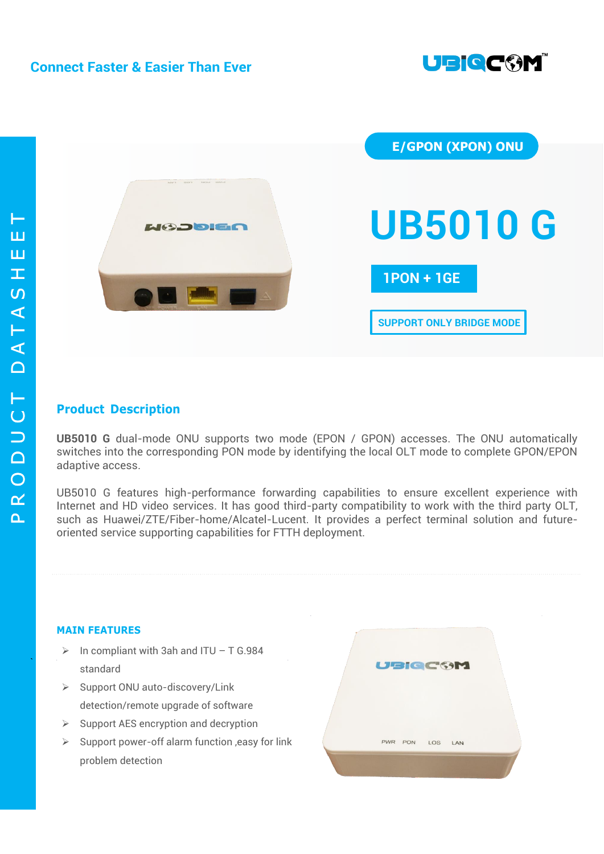

`



# **Product Description**

**UB5010 G** dual-mode ONU supports two mode (EPON / GPON) accesses. The ONU automatically switches into the corresponding PON mode by identifying the local OLT mode to complete GPON/EPON adaptive access.

UB5010 G features high-performance forwarding capabilities to ensure excellent experience with Internet and HD video services. It has good third-party compatibility to work with the third party OLT, such as Huawei/ZTE/Fiber-home/Alcatel-Lucent. It provides a perfect terminal solution and futureoriented service supporting capabilities for FTTH deployment.

### **MAIN FEATURES**

- $\triangleright$  In compliant with 3ah and ITU T G.984 standard
- $\triangleright$  Support ONU auto-discovery/Link detection/remote upgrade of software
- $\triangleright$  Support AES encryption and decryption
- $\triangleright$  Support power-off alarm function , easy for link problem detection

|  | <b>UBIQCOM</b>  |  |
|--|-----------------|--|
|  | PWR PON LOS LAN |  |
|  |                 |  |